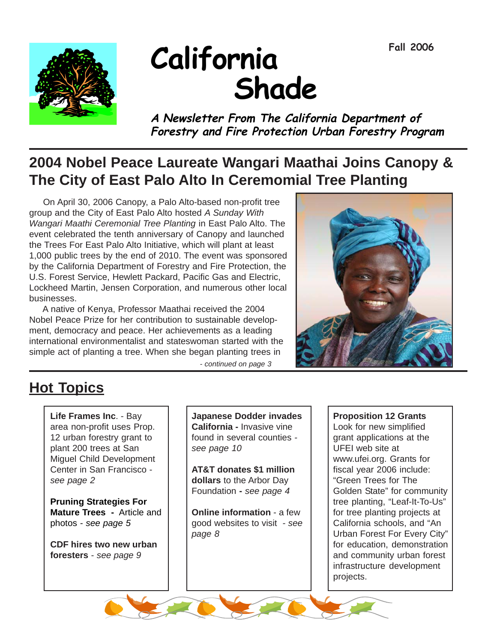

# **California Shade**

**<sup>A</sup> Newsletter From The California Department of Forestry and Fire Protection Urban Forestry Program**

## **2004 Nobel Peace Laureate Wangari Maathai Joins Canopy & The City of East Palo Alto In Ceremomial Tree Planting**

 On April 30, 2006 Canopy, a Palo Alto-based non-profit tree group and the City of East Palo Alto hosted *A Sunday With Wangari Maathi Ceremonial Tree Planting* in East Palo Alto. The event celebrated the tenth anniversary of Canopy and launched the Trees For East Palo Alto Initiative, which will plant at least 1,000 public trees by the end of 2010. The event was sponsored by the California Department of Forestry and Fire Protection, the U.S. Forest Service, Hewlett Packard, Pacific Gas and Electric, Lockheed Martin, Jensen Corporation, and numerous other local businesses.

 A native of Kenya, Professor Maathai received the 2004 Nobel Peace Prize for her contribution to sustainable development, democracy and peace. Her achievements as a leading international environmentalist and stateswoman started with the simple act of planting a tree. When she began planting trees in

*- continued on page 3*



## **Hot Topics**

**Life Frames Inc**. - Bay area non-profit uses Prop. 12 urban forestry grant to plant 200 trees at San Miguel Child Development Center in San Francisco *see page 2*

**Pruning Strategies For Mature Trees -** Article and photos *- see page 5*

**CDF hires two new urban foresters** - *see page 9*

**Japanese Dodder invades California -** Invasive vine found in several counties *see page 10*

**AT&T donates \$1 million dollars** to the Arbor Day Foundation **-** *see page 4*

**Online information** - a few good websites to visit *- see page 8*

#### **Proposition 12 Grants**

Look for new simplified grant applications at the UFEI web site at www.ufei.org. Grants for fiscal year 2006 include: "Green Trees for The Golden State" for community tree planting, "Leaf-It-To-Us" for tree planting projects at California schools, and "An Urban Forest For Every City" for education, demonstration and community urban forest infrastructure development projects.

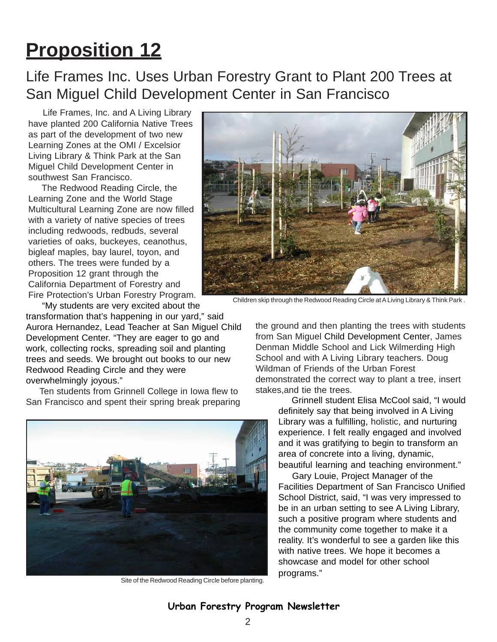## **Proposition 12**

Life Frames Inc. Uses Urban Forestry Grant to Plant 200 Trees at San Miguel Child Development Center in San Francisco

 Life Frames, Inc. and A Living Library have planted 200 California Native Trees as part of the development of two new Learning Zones at the OMI / Excelsior Living Library & Think Park at the San Miguel Child Development Center in southwest San Francisco.

 The Redwood Reading Circle, the Learning Zone and the World Stage Multicultural Learning Zone are now filled with a variety of native species of trees including redwoods, redbuds, several varieties of oaks, buckeyes, ceanothus, bigleaf maples, bay laurel, toyon, and others. The trees were funded by a Proposition 12 grant through the California Department of Forestry and Fire Protection's Urban Forestry Program.

"My students are very excited about the

transformation that's happening in our yard," said Aurora Hernandez, Lead Teacher at San Miguel Child Development Center. "They are eager to go and work, collecting rocks, spreading soil and planting trees and seeds. We brought out books to our new Redwood Reading Circle and they were overwhelmingly joyous."

 Ten students from Grinnell College in Iowa flew to San Francisco and spent their spring break preparing



Site of the Redwood Reading Circle before planting.



Children skip through the Redwood Reading Circle at A Living Library & Think Park .

the ground and then planting the trees with students from San Miguel Child Development Center, James Denman Middle School and Lick Wilmerding High School and with A Living Library teachers. Doug Wildman of Friends of the Urban Forest demonstrated the correct way to plant a tree, insert stakes,and tie the trees.

> Grinnell student Elisa McCool said, "I would definitely say that being involved in A Living Library was a fulfilling, holistic, and nurturing experience. I felt really engaged and involved and it was gratifying to begin to transform an area of concrete into a living, dynamic, beautiful learning and teaching environment."

> Gary Louie, Project Manager of the Facilities Department of San Francisco Unified School District, said, "I was very impressed to be in an urban setting to see A Living Library, such a positive program where students and the community come together to make it a reality. It's wonderful to see a garden like this with native trees. We hope it becomes a showcase and model for other school programs."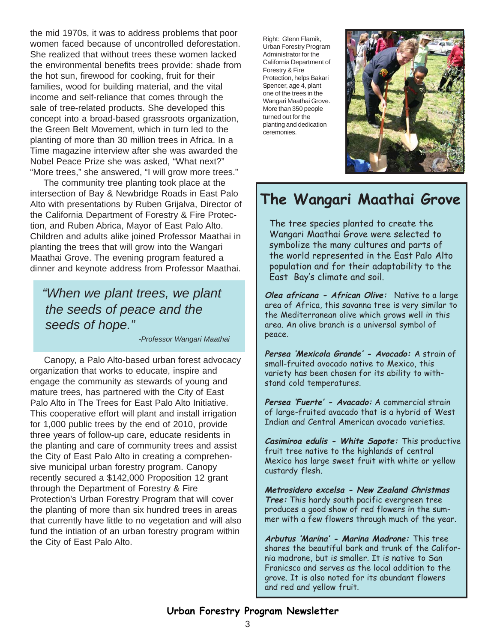the mid 1970s, it was to address problems that poor women faced because of uncontrolled deforestation. She realized that without trees these women lacked the environmental benefits trees provide: shade from the hot sun, firewood for cooking, fruit for their families, wood for building material, and the vital income and self-reliance that comes through the sale of tree-related products. She developed this concept into a broad-based grassroots organization, the Green Belt Movement, which in turn led to the planting of more than 30 million trees in Africa. In a Time magazine interview after she was awarded the Nobel Peace Prize she was asked, "What next?" "More trees," she answered, "I will grow more trees."

 The community tree planting took place at the intersection of Bay & Newbridge Roads in East Palo Alto with presentations by Ruben Grijalva, Director of the California Department of Forestry & Fire Protection, and Ruben Abrica, Mayor of East Palo Alto. Children and adults alike joined Professor Maathai in planting the trees that will grow into the Wangari Maathai Grove. The evening program featured a dinner and keynote address from Professor Maathai.

 *"When we plant trees, we plant the seeds of peace and the seeds of hope."*

*-Professor Wangari Maathai*

 Canopy, a Palo Alto-based urban forest advocacy organization that works to educate, inspire and engage the community as stewards of young and mature trees, has partnered with the City of East Palo Alto in The Trees for East Palo Alto Initiative. This cooperative effort will plant and install irrigation for 1,000 public trees by the end of 2010, provide three years of follow-up care, educate residents in the planting and care of community trees and assist the City of East Palo Alto in creating a comprehensive municipal urban forestry program. Canopy recently secured a \$142,000 Proposition 12 grant through the Department of Forestry & Fire Protection's Urban Forestry Program that will cover the planting of more than six hundred trees in areas that currently have little to no vegetation and will also fund the intiation of an urban forestry program within the City of East Palo Alto.

Right: Glenn Flamik, Urban Forestry Program Administrator for the California Department of Forestry & Fire Protection, helps Bakari Spencer, age 4, plant one of the trees in the Wangari Maathai Grove. More than 350 people turned out for the planting and dedication ceremonies.



## **The Wangari Maathai Grove**

The tree species planted to create the Wangari Maathai Grove were selected to symbolize the many cultures and parts of the world represented in the East Palo Alto population and for their adaptability to the East Bay's climate and soil.

**Olea africana - African Olive:** Native to a large area of Africa, this savanna tree is very similar to the Mediterranean olive which grows well in this area. An olive branch is a universal symbol of peace.

**Persea 'Mexicola Grande' - Avocado:** A strain of small-fruited avocado native to Mexico, this variety has been chosen for its ability to withstand cold temperatures.

**Persea 'Fuerte' - Avacado:** A commercial strain of large-fruited avacado that is a hybrid of West Indian and Central American avocado varieties.

**Casimiroa edulis - White Sapote:** This productive fruit tree native to the highlands of central Mexico has large sweet fruit with white or yellow custardy flesh.

**Metrosidero excelsa - New Zealand Christmas Tree:** This hardy south pacific evergreen tree produces a good show of red flowers in the summer with a few flowers through much of the year.

**Arbutus 'Marina' - Marina Madrone:** This tree shares the beautiful bark and trunk of the California madrone, but is smaller. It is native to San Franicsco and serves as the local addition to the grove. It is also noted for its abundant flowers and red and yellow fruit.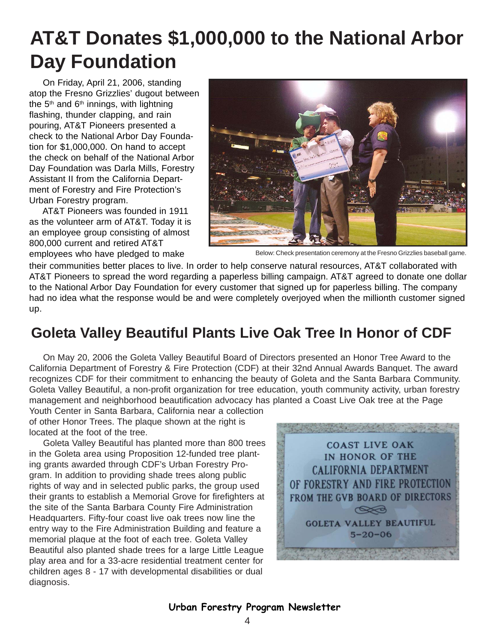## **AT&T Donates \$1,000,000 to the National Arbor Day Foundation**

 On Friday, April 21, 2006, standing atop the Fresno Grizzlies' dugout between the  $5<sup>th</sup>$  and  $6<sup>th</sup>$  innings, with lightning flashing, thunder clapping, and rain pouring, AT&T Pioneers presented a check to the National Arbor Day Foundation for \$1,000,000. On hand to accept the check on behalf of the National Arbor Day Foundation was Darla Mills, Forestry Assistant II from the California Department of Forestry and Fire Protection's Urban Forestry program.

 AT&T Pioneers was founded in 1911 as the volunteer arm of AT&T. Today it is an employee group consisting of almost 800,000 current and retired AT&T



employees who have pledged to make Below: Check presentation ceremony at the Fresno Grizzlies baseball game.

their communities better places to live. In order to help conserve natural resources, AT&T collaborated with AT&T Pioneers to spread the word regarding a paperless billing campaign. AT&T agreed to donate one dollar to the National Arbor Day Foundation for every customer that signed up for paperless billing. The company had no idea what the response would be and were completely overjoyed when the millionth customer signed up.

### **Goleta Valley Beautiful Plants Live Oak Tree In Honor of CDF**

 On May 20, 2006 the Goleta Valley Beautiful Board of Directors presented an Honor Tree Award to the California Department of Forestry & Fire Protection (CDF) at their 32nd Annual Awards Banquet. The award recognizes CDF for their commitment to enhancing the beauty of Goleta and the Santa Barbara Community. Goleta Valley Beautiful, a non-profit organization for tree education, youth community activity, urban forestry management and neighborhood beautification advocacy has planted a Coast Live Oak tree at the Page

Youth Center in Santa Barbara, California near a collection of other Honor Trees. The plaque shown at the right is located at the foot of the tree.

 Goleta Valley Beautiful has planted more than 800 trees in the Goleta area using Proposition 12-funded tree planting grants awarded through CDF's Urban Forestry Program. In addition to providing shade trees along public rights of way and in selected public parks, the group used their grants to establish a Memorial Grove for firefighters at the site of the Santa Barbara County Fire Administration Headquarters. Fifty-four coast live oak trees now line the entry way to the Fire Administration Building and feature a memorial plaque at the foot of each tree. Goleta Valley Beautiful also planted shade trees for a large Little League play area and for a 33-acre residential treatment center for children ages 8 - 17 with developmental disabilities or dual diagnosis.

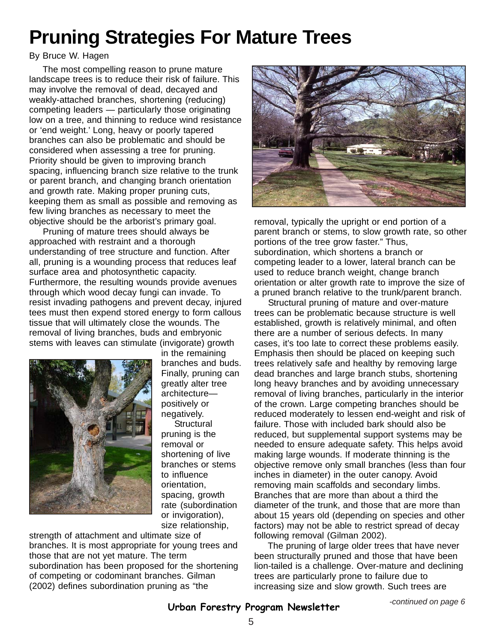## **Pruning Strategies For Mature Trees**

#### By Bruce W. Hagen

 The most compelling reason to prune mature landscape trees is to reduce their risk of failure. This may involve the removal of dead, decayed and weakly-attached branches, shortening (reducing) competing leaders — particularly those originating low on a tree, and thinning to reduce wind resistance or 'end weight.' Long, heavy or poorly tapered branches can also be problematic and should be considered when assessing a tree for pruning. Priority should be given to improving branch spacing, influencing branch size relative to the trunk or parent branch, and changing branch orientation and growth rate. Making proper pruning cuts, keeping them as small as possible and removing as few living branches as necessary to meet the objective should be the arborist's primary goal.

 Pruning of mature trees should always be approached with restraint and a thorough understanding of tree structure and function. After all, pruning is a wounding process that reduces leaf surface area and photosynthetic capacity. Furthermore, the resulting wounds provide avenues through which wood decay fungi can invade. To resist invading pathogens and prevent decay, injured tees must then expend stored energy to form callous tissue that will ultimately close the wounds. The removal of living branches, buds and embryonic stems with leaves can stimulate (invigorate) growth



in the remaining branches and buds. Finally, pruning can greatly alter tree architecture positively or negatively.

**Structural** pruning is the removal or shortening of live branches or stems to influence orientation, spacing, growth rate (subordination or invigoration), size relationship,

strength of attachment and ultimate size of branches. It is most appropriate for young trees and those that are not yet mature. The term subordination has been proposed for the shortening of competing or codominant branches. Gilman (2002) defines subordination pruning as "the



removal, typically the upright or end portion of a parent branch or stems, to slow growth rate, so other portions of the tree grow faster." Thus, subordination, which shortens a branch or competing leader to a lower, lateral branch can be used to reduce branch weight, change branch orientation or alter growth rate to improve the size of a pruned branch relative to the trunk/parent branch.

 Structural pruning of mature and over-mature trees can be problematic because structure is well established, growth is relatively minimal, and often there are a number of serious defects. In many cases, it's too late to correct these problems easily. Emphasis then should be placed on keeping such trees relatively safe and healthy by removing large dead branches and large branch stubs, shortening long heavy branches and by avoiding unnecessary removal of living branches, particularly in the interior of the crown. Large competing branches should be reduced moderately to lessen end-weight and risk of failure. Those with included bark should also be reduced, but supplemental support systems may be needed to ensure adequate safety. This helps avoid making large wounds. If moderate thinning is the objective remove only small branches (less than four inches in diameter) in the outer canopy. Avoid removing main scaffolds and secondary limbs. Branches that are more than about a third the diameter of the trunk, and those that are more than about 15 years old (depending on species and other factors) may not be able to restrict spread of decay following removal (Gilman 2002).

 The pruning of large older trees that have never been structurally pruned and those that have been lion-tailed is a challenge. Over-mature and declining trees are particularly prone to failure due to increasing size and slow growth. Such trees are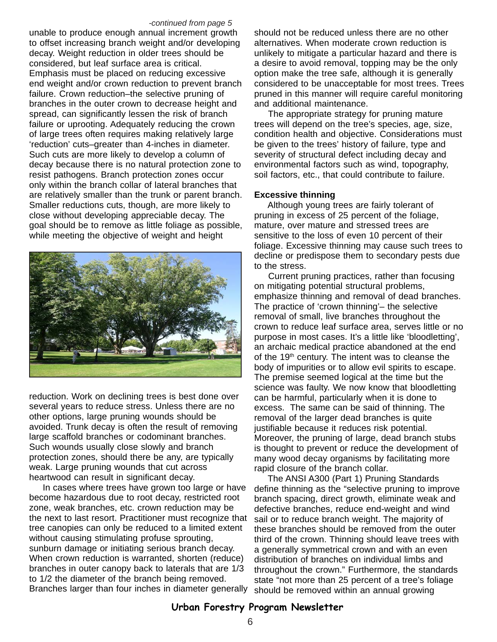#### *-continued from page 5*

unable to produce enough annual increment growth to offset increasing branch weight and/or developing decay. Weight reduction in older trees should be considered, but leaf surface area is critical. Emphasis must be placed on reducing excessive end weight and/or crown reduction to prevent branch failure. Crown reduction–the selective pruning of branches in the outer crown to decrease height and spread, can significantly lessen the risk of branch failure or uprooting. Adequately reducing the crown of large trees often requires making relatively large 'reduction' cuts–greater than 4-inches in diameter. Such cuts are more likely to develop a column of decay because there is no natural protection zone to resist pathogens. Branch protection zones occur only within the branch collar of lateral branches that are relatively smaller than the trunk or parent branch. Smaller reductions cuts, though, are more likely to close without developing appreciable decay. The goal should be to remove as little foliage as possible, while meeting the objective of weight and height



reduction. Work on declining trees is best done over several years to reduce stress. Unless there are no other options, large pruning wounds should be avoided. Trunk decay is often the result of removing large scaffold branches or codominant branches. Such wounds usually close slowly and branch protection zones, should there be any, are typically weak. Large pruning wounds that cut across heartwood can result in significant decay.

 In cases where trees have grown too large or have become hazardous due to root decay, restricted root zone, weak branches, etc. crown reduction may be the next to last resort. Practitioner must recognize that tree canopies can only be reduced to a limited extent without causing stimulating profuse sprouting, sunburn damage or initiating serious branch decay. When crown reduction is warranted, shorten (reduce) branches in outer canopy back to laterals that are 1/3 to 1/2 the diameter of the branch being removed. Branches larger than four inches in diameter generally

should not be reduced unless there are no other alternatives. When moderate crown reduction is unlikely to mitigate a particular hazard and there is a desire to avoid removal, topping may be the only option make the tree safe, although it is generally considered to be unacceptable for most trees. Trees pruned in this manner will require careful monitoring and additional maintenance.

 The appropriate strategy for pruning mature trees will depend on the tree's species, age, size, condition health and objective. Considerations must be given to the trees' history of failure, type and severity of structural defect including decay and environmental factors such as wind, topography, soil factors, etc., that could contribute to failure.

#### **Excessive thinning**

 Although young trees are fairly tolerant of pruning in excess of 25 percent of the foliage, mature, over mature and stressed trees are sensitive to the loss of even 10 percent of their foliage. Excessive thinning may cause such trees to decline or predispose them to secondary pests due to the stress.

 Current pruning practices, rather than focusing on mitigating potential structural problems, emphasize thinning and removal of dead branches. The practice of 'crown thinning'– the selective removal of small, live branches throughout the crown to reduce leaf surface area, serves little or no purpose in most cases. It's a little like 'bloodletting', an archaic medical practice abandoned at the end of the 19<sup>th</sup> century. The intent was to cleanse the body of impurities or to allow evil spirits to escape. The premise seemed logical at the time but the science was faulty. We now know that bloodletting can be harmful, particularly when it is done to excess. The same can be said of thinning. The removal of the larger dead branches is quite justifiable because it reduces risk potential. Moreover, the pruning of large, dead branch stubs is thought to prevent or reduce the development of many wood decay organisms by facilitating more rapid closure of the branch collar.

 The ANSI A300 (Part 1) Pruning Standards define thinning as the "selective pruning to improve branch spacing, direct growth, eliminate weak and defective branches, reduce end-weight and wind sail or to reduce branch weight. The majority of these branches should be removed from the outer third of the crown. Thinning should leave trees with a generally symmetrical crown and with an even distribution of branches on individual limbs and throughout the crown." Furthermore, the standards state "not more than 25 percent of a tree's foliage should be removed within an annual growing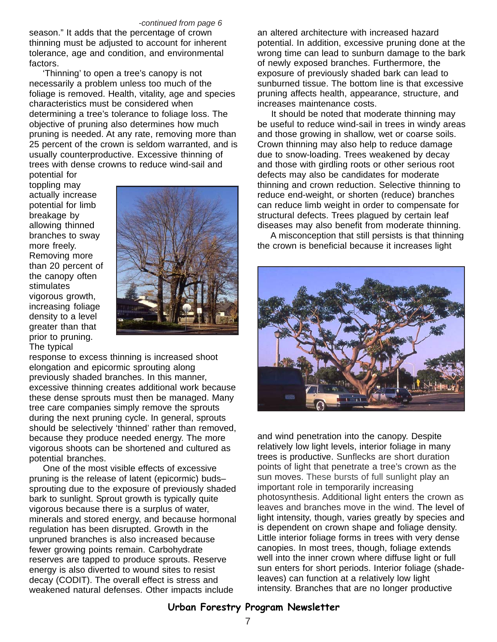#### *-continued from page 6*

season." It adds that the percentage of crown thinning must be adjusted to account for inherent tolerance, age and condition, and environmental factors.

 'Thinning' to open a tree's canopy is not necessarily a problem unless too much of the foliage is removed. Health, vitality, age and species characteristics must be considered when determining a tree's tolerance to foliage loss. The objective of pruning also determines how much pruning is needed. At any rate, removing more than 25 percent of the crown is seldom warranted, and is usually counterproductive. Excessive thinning of trees with dense crowns to reduce wind-sail and potential for

toppling may actually increase potential for limb breakage by allowing thinned branches to sway more freely. Removing more than 20 percent of the canopy often stimulates vigorous growth, increasing foliage density to a level greater than that prior to pruning. The typical



response to excess thinning is increased shoot elongation and epicormic sprouting along previously shaded branches. In this manner, excessive thinning creates additional work because these dense sprouts must then be managed. Many tree care companies simply remove the sprouts during the next pruning cycle. In general, sprouts should be selectively 'thinned' rather than removed, because they produce needed energy. The more vigorous shoots can be shortened and cultured as potential branches.

 One of the most visible effects of excessive pruning is the release of latent (epicormic) buds– sprouting due to the exposure of previously shaded bark to sunlight. Sprout growth is typically quite vigorous because there is a surplus of water, minerals and stored energy, and because hormonal regulation has been disrupted. Growth in the unpruned branches is also increased because fewer growing points remain. Carbohydrate reserves are tapped to produce sprouts. Reserve energy is also diverted to wound sites to resist decay (CODIT). The overall effect is stress and weakened natural defenses. Other impacts include

an altered architecture with increased hazard potential. In addition, excessive pruning done at the wrong time can lead to sunburn damage to the bark of newly exposed branches. Furthermore, the exposure of previously shaded bark can lead to sunburned tissue. The bottom line is that excessive pruning affects health, appearance, structure, and increases maintenance costs.

 It should be noted that moderate thinning may be useful to reduce wind-sail in trees in windy areas and those growing in shallow, wet or coarse soils. Crown thinning may also help to reduce damage due to snow-loading. Trees weakened by decay and those with girdling roots or other serious root defects may also be candidates for moderate thinning and crown reduction. Selective thinning to reduce end-weight, or shorten (reduce) branches can reduce limb weight in order to compensate for structural defects. Trees plagued by certain leaf diseases may also benefit from moderate thinning.

 A misconception that still persists is that thinning the crown is beneficial because it increases light



and wind penetration into the canopy. Despite relatively low light levels, interior foliage in many trees is productive. Sunflecks are short duration points of light that penetrate a tree's crown as the sun moves. These bursts of full sunlight play an important role in temporarily increasing photosynthesis. Additional light enters the crown as leaves and branches move in the wind. The level of light intensity, though, varies greatly by species and is dependent on crown shape and foliage density. Little interior foliage forms in trees with very dense canopies. In most trees, though, foliage extends well into the inner crown where diffuse light or full sun enters for short periods. Interior foliage (shadeleaves) can function at a relatively low light intensity. Branches that are no longer productive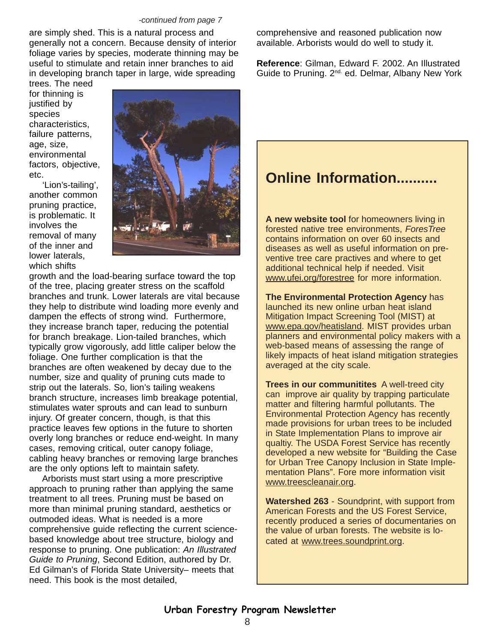#### *-continued from page 7*

are simply shed. This is a natural process and generally not a concern. Because density of interior foliage varies by species, moderate thinning may be useful to stimulate and retain inner branches to aid in developing branch taper in large, wide spreading

trees. The need for thinning is justified by species characteristics, failure patterns, age, size, environmental factors, objective, etc.

 'Lion's-tailing', another common pruning practice, is problematic. It involves the removal of many of the inner and lower laterals, which shifts



growth and the load-bearing surface toward the top of the tree, placing greater stress on the scaffold branches and trunk. Lower laterals are vital because they help to distribute wind loading more evenly and dampen the effects of strong wind. Furthermore, they increase branch taper, reducing the potential for branch breakage. Lion-tailed branches, which typically grow vigorously, add little caliper below the foliage. One further complication is that the branches are often weakened by decay due to the number, size and quality of pruning cuts made to strip out the laterals. So, lion's tailing weakens branch structure, increases limb breakage potential, stimulates water sprouts and can lead to sunburn injury. Of greater concern, though, is that this practice leaves few options in the future to shorten overly long branches or reduce end-weight. In many cases, removing critical, outer canopy foliage, cabling heavy branches or removing large branches are the only options left to maintain safety.

 Arborists must start using a more prescriptive approach to pruning rather than applying the same treatment to all trees. Pruning must be based on more than minimal pruning standard, aesthetics or outmoded ideas. What is needed is a more comprehensive guide reflecting the current sciencebased knowledge about tree structure, biology and response to pruning. One publication: *An Illustrated Guide to Pruning*, Second Edition, authored by Dr. Ed Gilman's of Florida State University– meets that need. This book is the most detailed,

comprehensive and reasoned publication now available. Arborists would do well to study it.

**Reference**: Gilman, Edward F. 2002. An Illustrated Guide to Pruning. 2<sup>nd.</sup> ed. Delmar, Albany New York

### **Online Information...**

**A new website tool** for homeowners living in forested native tree environments, *ForesTree* contains information on over 60 insects and diseases as well as useful information on preventive tree care practives and where to get additional technical help if needed. Visit www.ufei.org/forestree for more information.

**The Environmental Protection Agency** has launched its new online urban heat island Mitigation Impact Screening Tool (MIST) at www.epa.gov/heatisland. MIST provides urban planners and environmental policy makers with a web-based means of assessing the range of likely impacts of heat island mitigation strategies averaged at the city scale.

**Trees in our communitites** A well-treed city can improve air quality by trapping particulate matter and filtering harmful pollutants. The Environmental Protection Agency has recently made provisions for urban trees to be included in State Implementation Plans to improve air qualtiy. The USDA Forest Service has recently developed a new website for "Building the Case for Urban Tree Canopy Inclusion in State Implementation Plans". Fore more information visit www.treescleanair.org.

**Watershed 263** - Soundprint, with support from American Forests and the US Forest Service, recently produced a series of documentaries on the value of urban forests. The website is located at www.trees.soundprint.org.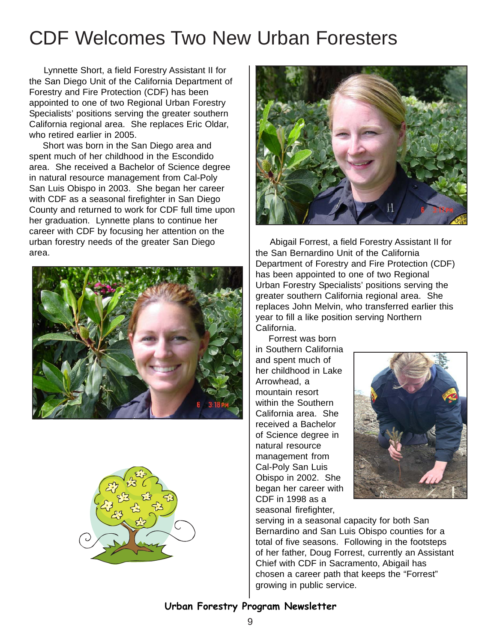## CDF Welcomes Two New Urban Foresters

Lynnette Short, a field Forestry Assistant II for the San Diego Unit of the California Department of Forestry and Fire Protection (CDF) has been appointed to one of two Regional Urban Forestry Specialists' positions serving the greater southern California regional area. She replaces Eric Oldar, who retired earlier in 2005.

 Short was born in the San Diego area and spent much of her childhood in the Escondido area. She received a Bachelor of Science degree in natural resource management from Cal-Poly San Luis Obispo in 2003. She began her career with CDF as a seasonal firefighter in San Diego County and returned to work for CDF full time upon her graduation. Lynnette plans to continue her career with CDF by focusing her attention on the urban forestry needs of the greater San Diego area.







Abigail Forrest, a field Forestry Assistant II for the San Bernardino Unit of the California Department of Forestry and Fire Protection (CDF) has been appointed to one of two Regional Urban Forestry Specialists' positions serving the greater southern California regional area. She replaces John Melvin, who transferred earlier this year to fill a like position serving Northern California.

 Forrest was born in Southern California and spent much of her childhood in Lake Arrowhead, a mountain resort within the Southern California area. She received a Bachelor of Science degree in natural resource management from Cal-Poly San Luis Obispo in 2002. She began her career with CDF in 1998 as a seasonal firefighter,



serving in a seasonal capacity for both San Bernardino and San Luis Obispo counties for a total of five seasons. Following in the footsteps of her father, Doug Forrest, currently an Assistant Chief with CDF in Sacramento, Abigail has chosen a career path that keeps the "Forrest" growing in public service.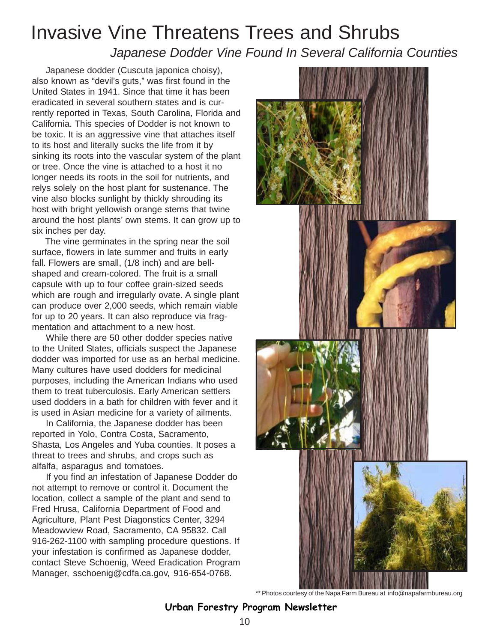## Invasive Vine Threatens Trees and Shrubs  *Japanese Dodder Vine Found In Several California Counties*

 Japanese dodder (Cuscuta japonica choisy), also known as "devil's guts," was first found in the United States in 1941. Since that time it has been eradicated in several southern states and is currently reported in Texas, South Carolina, Florida and California. This species of Dodder is not known to be toxic. It is an aggressive vine that attaches itself to its host and literally sucks the life from it by sinking its roots into the vascular system of the plant or tree. Once the vine is attached to a host it no longer needs its roots in the soil for nutrients, and relys solely on the host plant for sustenance. The vine also blocks sunlight by thickly shrouding its host with bright yellowish orange stems that twine around the host plants' own stems. It can grow up to six inches per day.

 The vine germinates in the spring near the soil surface, flowers in late summer and fruits in early fall. Flowers are small, (1/8 inch) and are bellshaped and cream-colored. The fruit is a small capsule with up to four coffee grain-sized seeds which are rough and irregularly ovate. A single plant can produce over 2,000 seeds, which remain viable for up to 20 years. It can also reproduce via fragmentation and attachment to a new host.

 While there are 50 other dodder species native to the United States, officials suspect the Japanese dodder was imported for use as an herbal medicine. Many cultures have used dodders for medicinal purposes, including the American Indians who used them to treat tuberculosis. Early American settlers used dodders in a bath for children with fever and it is used in Asian medicine for a variety of ailments.

 In California, the Japanese dodder has been reported in Yolo, Contra Costa, Sacramento, Shasta, Los Angeles and Yuba counties. It poses a threat to trees and shrubs, and crops such as alfalfa, asparagus and tomatoes.

 If you find an infestation of Japanese Dodder do not attempt to remove or control it. Document the location, collect a sample of the plant and send to Fred Hrusa, California Department of Food and Agriculture, Plant Pest Diagonstics Center, 3294 Meadowview Road, Sacramento, CA 95832. Call 916-262-1100 with sampling procedure questions. If your infestation is confirmed as Japanese dodder, contact Steve Schoenig, Weed Eradication Program Manager, sschoenig@cdfa.ca.gov, 916-654-0768.



<sup>\*\*</sup> Photos courtesy of the Napa Farm Bureau at info@napafarmbureau.org